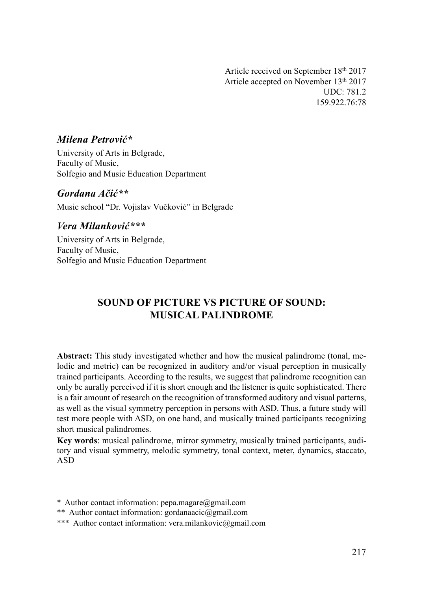Article received on September 18th 2017 Article accepted on November 13th 2017 UDC: 781.2 159.922.76:78

### Milena Petrović\*

University of Arts in Belgrade, Faculty of Music, Solfegio and Music Education Department

Gordana Ačić\*\* Music school "Dr. Vojislav Vučković" in Belgrade

#### Vera Milanković\*\*\*

University of Arts in Belgrade, Faculty of Music, Solfegio and Music Education Department

# SOUND OF PICTURE VS PICTURE OF SOUND: MUSICAL PALINDROME

Abstract: This study investigated whether and how the musical palindrome (tonal, melodic and metric) can be recognized in auditory and/or visual perception in musically trained participants. According to the results, we suggest that palindrome recognition can only be aurally perceived if it is short enough and the listener is quite sophisticated. There is a fair amount of research on the recognition of transformed auditory and visual patterns, as well as the visual symmetry perception in persons with ASD. Thus, a future study will test more people with ASD, on one hand, and musically trained participants recognizing short musical palindromes.

Key words: musical palindrome, mirror symmetry, musically trained participants, auditory and visual symmetry, melodic symmetry, tonal context, meter, dynamics, staccato, ASD

<sup>\*</sup> Author contact information: pepa.magare@gmail.com

<sup>\*\*</sup> Author contact information: gordanaacic@gmail.com

<sup>\*\*\*</sup> Author contact information: vera.milankovic@gmail.com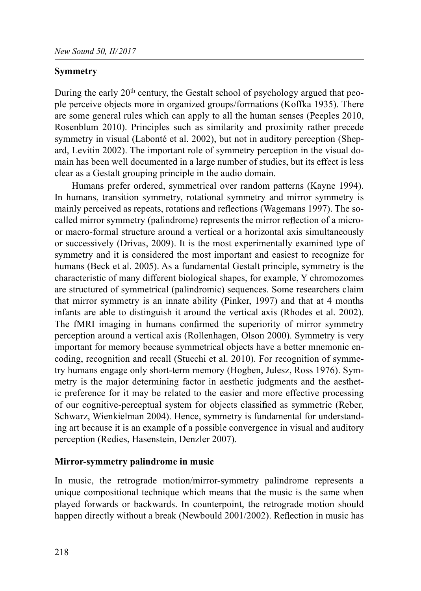#### Symmetry

During the early  $20<sup>th</sup>$  century, the Gestalt school of psychology argued that people perceive objects more in organized groups/formations (Koffka 1935). There are some general rules which can apply to all the human senses (Peeples 2010, Rosenblum 2010). Principles such as similarity and proximity rather precede symmetry in visual (Labonté et al. 2002), but not in auditory perception (Shepard, Levitin 2002). The important role of symmetry perception in the visual domain has been well documented in a large number of studies, but its effect is less clear as a Gestalt grouping principle in the audio domain.

Humans prefer ordered, symmetrical over random patterns (Kayne 1994). In humans, transition symmetry, rotational symmetry and mirror symmetry is mainly perceived as repeats, rotations and reflections (Wagemans 1997). The socalled mirror symmetry (palindrome) represents the mirror reflection of a microor macro-formal structure around a vertical or a horizontal axis simultaneously or successively (Drivas, 2009). It is the most experimentally examined type of symmetry and it is considered the most important and easiest to recognize for humans (Beck et al. 2005). As a fundamental Gestalt principle, symmetry is the characteristic of many different biological shapes, for example, Y chromozomes are structured of symmetrical (palindromic) sequences. Some researchers claim that mirror symmetry is an innate ability (Pinker, 1997) and that at 4 months infants are able to distinguish it around the vertical axis (Rhodes et al. 2002). The fMRI imaging in humans confirmed the superiority of mirror symmetry perception around a vertical axis (Rollenhagen, Olson 2000). Symmetry is very important for memory because symmetrical objects have a better mnemonic encoding, recognition and recall (Stucchi et al. 2010). For recognition of symmetry humans engage only short-term memory (Hogben, Julesz, Ross 1976). Symmetry is the major determining factor in aesthetic judgments and the aesthetic preference for it may be related to the easier and more effective processing of our cognitive-perceptual system for objects classified as symmetric (Reber, Schwarz, Wienkielman 2004). Hence, symmetry is fundamental for understanding art because it is an example of a possible convergence in visual and auditory perception (Redies, Hasenstein, Denzler 2007).

#### Mirror-symmetry palindrome in music

In music, the retrograde motion/mirror-symmetry palindrome represents a unique compositional technique which means that the music is the same when played forwards or backwards. In counterpoint, the retrograde motion should happen directly without a break (Newbould 2001/2002). Reflection in music has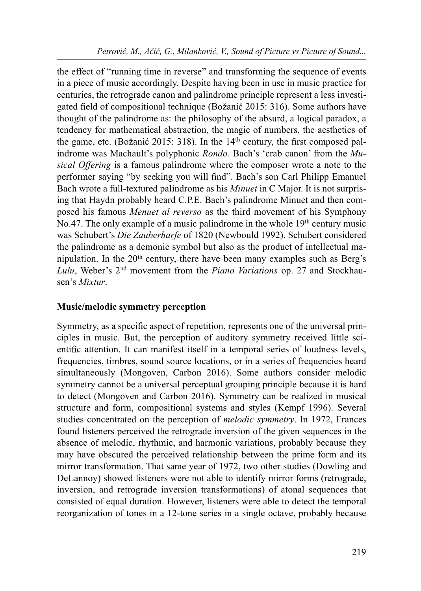the effect of "running time in reverse" and transforming the sequence of events in a piece of music accordingly. Despite having been in use in music practice for centuries, the retrograde canon and palindrome principle represent a less investigated field of compositional technique (Božanić 2015: 316). Some authors have thought of the palindrome as: the philosophy of the absurd, a logical paradox, a tendency for mathematical abstraction, the magic of numbers, the aesthetics of the game, etc. (Božanić 2015: 318). In the  $14<sup>th</sup>$  century, the first composed palindrome was Machault's polyphonic Rondo. Bach's 'crab canon' from the Musical Offering is a famous palindrome where the composer wrote a note to the performer saying "by seeking you will find". Bach's son Carl Philipp Emanuel Bach wrote a full-textured palindrome as his Minuet in C Major. It is not surprising that Haydn probably heard C.P.E. Bach's palindrome Minuet and then composed his famous Menuet al reverso as the third movement of his Symphony No.47. The only example of a music palindrome in the whole  $19<sup>th</sup>$  century music was Schubert's Die Zauberharfe of 1820 (Newbould 1992). Schubert considered the palindrome as a demonic symbol but also as the product of intellectual manipulation. In the  $20<sup>th</sup>$  century, there have been many examples such as Berg's Lulu, Weber's 2nd movement from the Piano Variations op. 27 and Stockhausen's Mixtur.

### Music/melodic symmetry perception

Symmetry, as a specific aspect of repetition, represents one of the universal principles in music. But, the perception of auditory symmetry received little scientific attention. It can manifest itself in a temporal series of loudness levels, frequencies, timbres, sound source locations, or in a series of frequencies heard simultaneously (Mongoven, Carbon 2016). Some authors consider melodic symmetry cannot be a universal perceptual grouping principle because it is hard to detect (Mongoven and Carbon 2016). Symmetry can be realized in musical structure and form, compositional systems and styles (Kempf 1996). Several studies concentrated on the perception of melodic symmetry. In 1972, Frances found listeners perceived the retrograde inversion of the given sequences in the absence of melodic, rhythmic, and harmonic variations, probably because they may have obscured the perceived relationship between the prime form and its mirror transformation. That same year of 1972, two other studies (Dowling and DeLannoy) showed listeners were not able to identify mirror forms (retrograde, inversion, and retrograde inversion transformations) of atonal sequences that consisted of equal duration. However, listeners were able to detect the temporal reorganization of tones in a 12-tone series in a single octave, probably because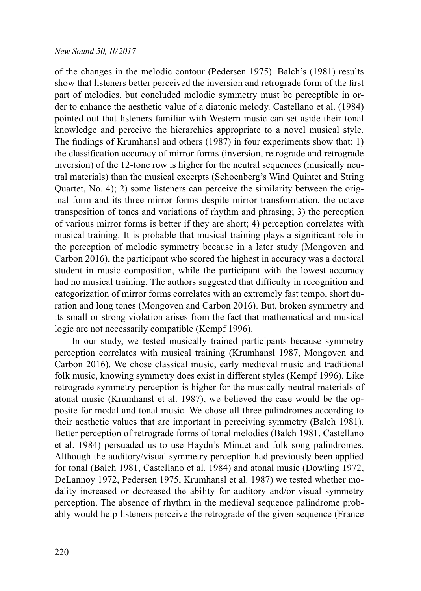#### New Sound 50, II/2017

of the changes in the melodic contour (Pedersen 1975). Balch's (1981) results show that listeners better perceived the inversion and retrograde form of the first part of melodies, but concluded melodic symmetry must be perceptible in order to enhance the aesthetic value of a diatonic melody. Castellano et al. (1984) pointed out that listeners familiar with Western music can set aside their tonal knowledge and perceive the hierarchies appropriate to a novel musical style. The findings of Krumhansl and others  $(1987)$  in four experiments show that: 1) the classification accuracy of mirror forms (inversion, retrograde and retrograde inversion) of the 12-tone row is higher for the neutral sequences (musically neutral materials) than the musical excerpts (Schoenberg's Wind Quintet and String Quartet, No. 4); 2) some listeners can perceive the similarity between the original form and its three mirror forms despite mirror transformation, the octave transposition of tones and variations of rhythm and phrasing; 3) the perception of various mirror forms is better if they are short; 4) perception correlates with musical training. It is probable that musical training plays a significant role in the perception of melodic symmetry because in a later study (Mongoven and Carbon 2016), the participant who scored the highest in accuracy was a doctoral student in music composition, while the participant with the lowest accuracy had no musical training. The authors suggested that difficulty in recognition and categorization of mirror forms correlates with an extremely fast tempo, short duration and long tones (Mongoven and Carbon 2016). But, broken symmetry and its small or strong violation arises from the fact that mathematical and musical logic are not necessarily compatible (Kempf 1996).

In our study, we tested musically trained participants because symmetry perception correlates with musical training (Krumhansl 1987, Mongoven and Carbon 2016). We chose classical music, early medieval music and traditional folk music, knowing symmetry does exist in different styles (Kempf 1996). Like retrograde symmetry perception is higher for the musically neutral materials of atonal music (Krumhansl et al. 1987), we believed the case would be the opposite for modal and tonal music. We chose all three palindromes according to their aesthetic values that are important in perceiving symmetry (Balch 1981). Better perception of retrograde forms of tonal melodies (Balch 1981, Castellano et al. 1984) persuaded us to use Haydn's Minuet and folk song palindromes. Although the auditory/visual symmetry perception had previously been applied for tonal (Balch 1981, Castellano et al. 1984) and atonal music (Dowling 1972, DeLannoy 1972, Pedersen 1975, Krumhansl et al. 1987) we tested whether modality increased or decreased the ability for auditory and/or visual symmetry perception. The absence of rhythm in the medieval sequence palindrome probably would help listeners perceive the retrograde of the given sequence (France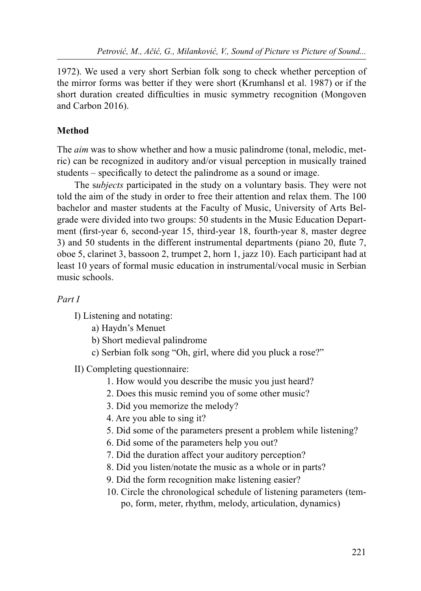1972). We used a very short Serbian folk song to check whether perception of the mirror forms was better if they were short (Krumhansl et al. 1987) or if the short duration created difficulties in music symmetry recognition (Mongoven and Carbon 2016).

# Method

The *aim* was to show whether and how a music palindrome (tonal, melodic, metric) can be recognized in auditory and/or visual perception in musically trained students – specifically to detect the palindrome as a sound or image.

The *subjects* participated in the study on a voluntary basis. They were not told the aim of the study in order to free their attention and relax them. The 100 bachelor and master students at the Faculty of Music, University of Arts Belgrade were divided into two groups: 50 students in the Music Education Department (first-year 6, second-year 15, third-year 18, fourth-year 8, master degree 3) and 50 students in the different instrumental departments (piano  $20$ , flute 7, oboe 5, clarinet 3, bassoon 2, trumpet 2, horn 1, jazz 10). Each participant had at least 10 years of formal music education in instrumental/vocal music in Serbian music schools.

## Part I

I) Listening and notating:

- a) Haydn's Menuet
- b) Short medieval palindrome
- c) Serbian folk song "Oh, girl, where did you pluck a rose?"

II) Completing questionnaire:

- 1. How would you describe the music you just heard?
- 2. Does this music remind you of some other music?
- 3. Did you memorize the melody?
- 4. Are you able to sing it?
- 5. Did some of the parameters present a problem while listening?
- 6. Did some of the parameters help you out?
- 7. Did the duration affect your auditory perception?
- 8. Did you listen/notate the music as a whole or in parts?
- 9. Did the form recognition make listening easier?
- 10. Circle the chronological schedule of listening parameters (tempo, form, meter, rhythm, melody, articulation, dynamics)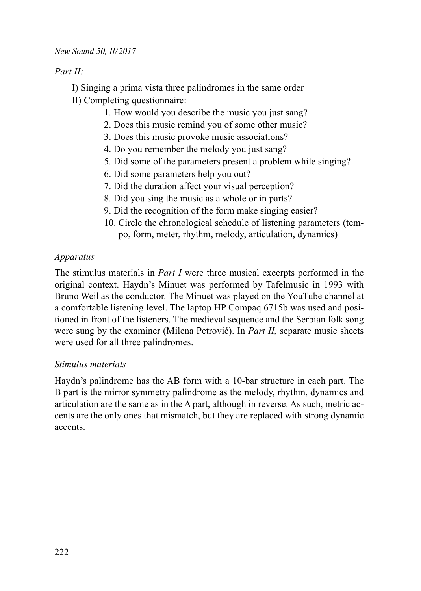Part II:

I) Singing a prima vista three palindromes in the same order II) Completing questionnaire:

- 1. How would you describe the music you just sang?
- 2. Does this music remind you of some other music?
- 3. Does this music provoke music associations?
- 4. Do you remember the melody you just sang?
- 5. Did some of the parameters present a problem while singing?
- 6. Did some parameters help you out?
- 7. Did the duration affect your visual perception?
- 8. Did you sing the music as a whole or in parts?
- 9. Did the recognition of the form make singing easier?
- 10. Circle the chronological schedule of listening parameters (tempo, form, meter, rhythm, melody, articulation, dynamics)

#### Apparatus

The stimulus materials in *Part I* were three musical excerpts performed in the original context. Haydn's Minuet was performed by Tafelmusic in 1993 with Bruno Weil as the conductor. The Minuet was played on the YouTube channel at a comfortable listening level. The laptop HP Compaq 6715b was used and positioned in front of the listeners. The medieval sequence and the Serbian folk song were sung by the examiner (Milena Petrović). In *Part II*, separate music sheets were used for all three palindromes.

#### Stimulus materials

Haydn's palindrome has the AB form with a 10-bar structure in each part. The B part is the mirror symmetry palindrome as the melody, rhythm, dynamics and articulation are the same as in the A part, although in reverse. As such, metric accents are the only ones that mismatch, but they are replaced with strong dynamic accents.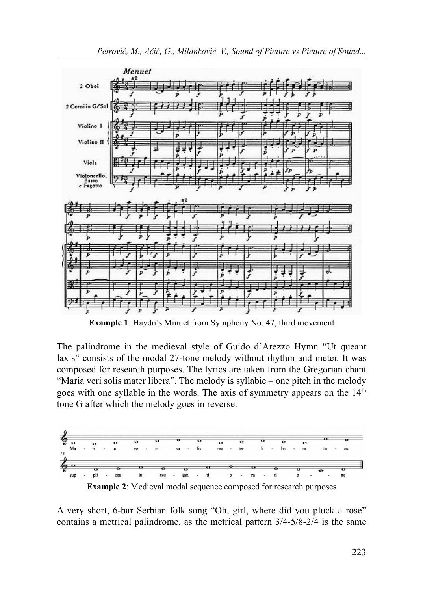



Example 1: Haydn's Minuet from Symphony No. 47, third movement

The palindrome in the medieval style of Guido d'Arezzo Hymn "Ut queant laxis" consists of the modal 27-tone melody without rhythm and meter. It was composed for research purposes. The lyrics are taken from the Gregorian chant "Maria veri solis mater libera". The melody is syllabic – one pitch in the melody goes with one syllable in the words. The axis of symmetry appears on the 14<sup>th</sup> tone G after which the melody goes in reverse.



A very short, 6-bar Serbian folk song "Oh, girl, where did you pluck a rose" contains a metrical palindrome, as the metrical pattern 3/4-5/8-2/4 is the same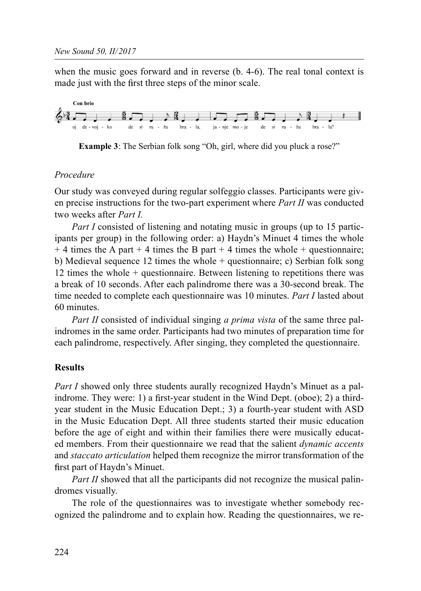when the music goes forward and in reverse (b. 4-6). The real tonal context is made just with the first three steps of the minor scale.



Example 3: The Serbian folk song "Oh, girl, where did you pluck a rose?"

# Procedure

Our study was conveyed during regular solfeggio classes. Participants were given precise instructions for the two-part experiment where  $Part II$  was conducted two weeks after *Part I*.

Part I consisted of listening and notating music in groups (up to 15 participants per group) in the following order: a) Haydn's Minuet 4 times the whole  $+$  4 times the A part  $+$  4 times the B part  $+$  4 times the whole  $+$  questionnaire; b) Medieval sequence 12 times the whole + questionnaire; c) Serbian folk song 12 times the whole + questionnaire. Between listening to repetitions there was a break of 10 seconds. After each palindrome there was a 30-second break. The time needed to complete each questionnaire was 10 minutes. Part I lasted about 60 minutes.

Part II consisted of individual singing a prima vista of the same three palindromes in the same order. Participants had two minutes of preparation time for each palindrome, respectively. After singing, they completed the questionnaire.

### Results

Part I showed only three students aurally recognized Haydn's Minuet as a palindrome. They were: 1) a first-year student in the Wind Dept. (oboe); 2) a thirdyear student in the Music Education Dept.; 3) a fourth-year student with ASD in the Music Education Dept. All three students started their music education before the age of eight and within their families there were musically educated members. From their questionnaire we read that the salient *dynamic accents* and *staccato articulation* helped them recognize the mirror transformation of the first part of Haydn's Minuet.

Part II showed that all the participants did not recognize the musical palindromes visually.

The role of the questionnaires was to investigate whether somebody recognized the palindrome and to explain how. Reading the questionnaires, we re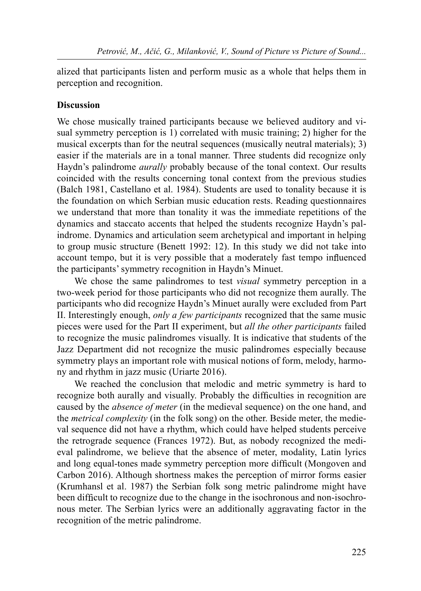alized that participants listen and perform music as a whole that helps them in perception and recognition.

#### Discussion

We chose musically trained participants because we believed auditory and visual symmetry perception is 1) correlated with music training; 2) higher for the musical excerpts than for the neutral sequences (musically neutral materials); 3) easier if the materials are in a tonal manner. Three students did recognize only Haydn's palindrome *aurally* probably because of the tonal context. Our results coincided with the results concerning tonal context from the previous studies (Balch 1981, Castellano et al. 1984). Students are used to tonality because it is the foundation on which Serbian music education rests. Reading questionnaires we understand that more than tonality it was the immediate repetitions of the dynamics and staccato accents that helped the students recognize Haydn's palindrome. Dynamics and articulation seem archetypical and important in helping to group music structure (Benett 1992: 12). In this study we did not take into account tempo, but it is very possible that a moderately fast tempo influenced the participants' symmetry recognition in Haydn's Minuet.

We chose the same palindromes to test *visual* symmetry perception in a two-week period for those participants who did not recognize them aurally. The participants who did recognize Haydn's Minuet aurally were excluded from Part II. Interestingly enough, only a few participants recognized that the same music pieces were used for the Part II experiment, but all the other participants failed to recognize the music palindromes visually. It is indicative that students of the Jazz Department did not recognize the music palindromes especially because symmetry plays an important role with musical notions of form, melody, harmony and rhythm in jazz music (Uriarte 2016).

We reached the conclusion that melodic and metric symmetry is hard to recognize both aurally and visually. Probably the difficulties in recognition are caused by the absence of meter (in the medieval sequence) on the one hand, and the metrical complexity (in the folk song) on the other. Beside meter, the medieval sequence did not have a rhythm, which could have helped students perceive the retrograde sequence (Frances 1972). But, as nobody recognized the medieval palindrome, we believe that the absence of meter, modality, Latin lyrics and long equal-tones made symmetry perception more difficult (Mongoven and Carbon 2016). Although shortness makes the perception of mirror forms easier (Krumhansl et al. 1987) the Serbian folk song metric palindrome might have been difficult to recognize due to the change in the isochronous and non-isochronous meter. The Serbian lyrics were an additionally aggravating factor in the recognition of the metric palindrome.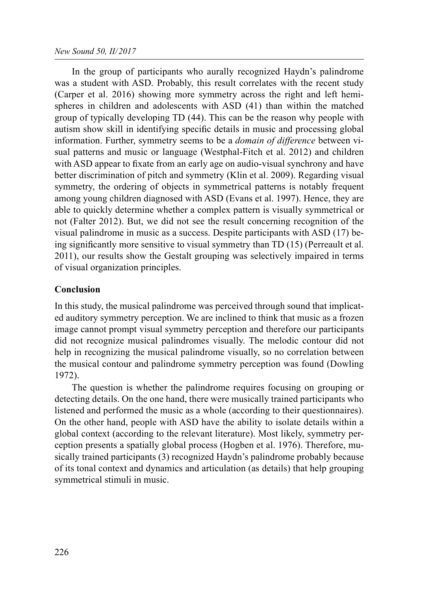In the group of participants who aurally recognized Haydn's palindrome was a student with ASD. Probably, this result correlates with the recent study (Carper et al. 2016) showing more symmetry across the right and left hemispheres in children and adolescents with ASD (41) than within the matched group of typically developing TD (44). This can be the reason why people with autism show skill in identifying specific details in music and processing global information. Further, symmetry seems to be a *domain of difference* between visual patterns and music or language (Westphal-Fitch et al. 2012) and children with ASD appear to fixate from an early age on audio-visual synchrony and have better discrimination of pitch and symmetry (Klin et al. 2009). Regarding visual symmetry, the ordering of objects in symmetrical patterns is notably frequent among young children diagnosed with ASD (Evans et al. 1997). Hence, they are able to quickly determine whether a complex pattern is visually symmetrical or not (Falter 2012). But, we did not see the result concerning recognition of the visual palindrome in music as a success. Despite participants with ASD (17) being significantly more sensitive to visual symmetry than TD (15) (Perreault et al. 2011), our results show the Gestalt grouping was selectively impaired in terms of visual organization principles.

### Conclusion

In this study, the musical palindrome was perceived through sound that implicated auditory symmetry perception. We are inclined to think that music as a frozen image cannot prompt visual symmetry perception and therefore our participants did not recognize musical palindromes visually. The melodic contour did not help in recognizing the musical palindrome visually, so no correlation between the musical contour and palindrome symmetry perception was found (Dowling 1972).

The question is whether the palindrome requires focusing on grouping or detecting details. On the one hand, there were musically trained participants who listened and performed the music as a whole (according to their questionnaires). On the other hand, people with ASD have the ability to isolate details within a global context (according to the relevant literature). Most likely, symmetry perception presents a spatially global process (Hogben et al. 1976). Therefore, musically trained participants (3) recognized Haydn's palindrome probably because of its tonal context and dynamics and articulation (as details) that help grouping symmetrical stimuli in music.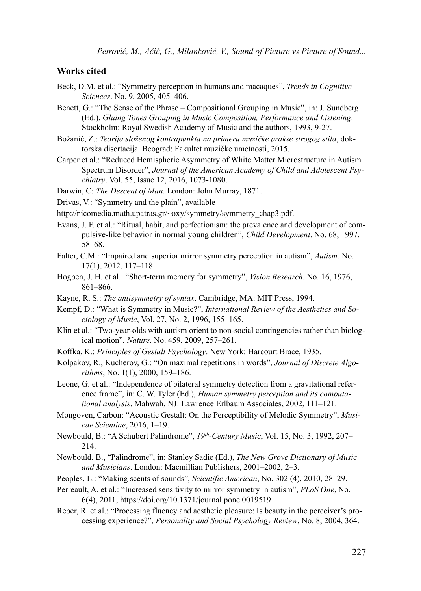#### Works cited

- Beck, D.M. et al.: "Symmetry perception in humans and macaques", Trends in Cognitive Sciences. No. 9, 2005, 405–406.
- Benett, G.: "The Sense of the Phrase Compositional Grouping in Music", in: J. Sundberg (Ed.), Gluing Tones Grouping in Music Composition, Performance and Listening. Stockholm: Royal Swedish Academy of Music and the authors, 1993, 9-27.
- Božanić, Z.: Teorija složenog kontrapunkta na primeru muzičke prakse strogog stila, doktorska disertacija. Beograd: Fakultet muzičke umetnosti, 2015.
- Carper et al.: "Reduced Hemispheric Asymmetry of White Matter Microstructure in Autism Spectrum Disorder", Journal of the American Academy of Child and Adolescent Psychiatry. Vol. 55, Issue 12, 2016, 1073-1080.

Darwin, C: The Descent of Man. London: John Murray, 1871.

Drivas, V.: "Symmetry and the plain", available

http://nicomedia.math.upatras.gr/~oxy/symmetry/symmetry\_chap3.pdf.

- Evans, J. F. et al.: "Ritual, habit, and perfectionism: the prevalence and development of compulsive-like behavior in normal young children", Child Development. No. 68, 1997, 58–68.
- Falter, C.M.: "Impaired and superior mirror symmetry perception in autism", Autism. No. 17(1), 2012, 117–118.
- Hogben, J. H. et al.: "Short-term memory for symmetry", Vision Research. No. 16, 1976, 861–866.
- Kayne, R. S.: The antisymmetry of syntax. Cambridge, MA: MIT Press, 1994.
- Kempf, D.: "What is Symmetry in Music?", International Review of the Aesthetics and Sociology of Music, Vol. 27, No. 2, 1996, 155–165.
- Klin et al.: "Two-year-olds with autism orient to non-social contingencies rather than biological motion", Nature. No. 459, 2009, 257–261.
- Koffka, K.: Principles of Gestalt Psychology. New York: Harcourt Brace, 1935.
- Kolpakov, R., Kucherov, G.: "On maximal repetitions in words", Journal of Discrete Algorithms, No. 1(1), 2000, 159–186.
- Leone, G. et al.: "Independence of bilateral symmetry detection from a gravitational reference frame", in: C. W. Tyler (Ed.), Human symmetry perception and its computational analysis. Mahwah, NJ: Lawrence Erlbaum Associates, 2002, 111–121.
- Mongoven, Carbon: "Acoustic Gestalt: On the Perceptibility of Melodic Symmetry", Musicae Scientiae, 2016, 1–19.
- Newbould, B.: "A Schubert Palindrome", 19th-Century Music, Vol. 15, No. 3, 1992, 207– 214.
- Newbould, B., "Palindrome", in: Stanley Sadie (Ed.), The New Grove Dictionary of Music and Musicians. London: Macmillian Publishers, 2001–2002, 2–3.
- Peoples, L.: "Making scents of sounds", Scientific American, No. 302 (4), 2010, 28–29.
- Perreault, A. et al.: "Increased sensitivity to mirror symmetry in autism", PLoS One, No. 6(4), 2011, https://doi.org/10.1371/journal.pone.0019519
- Reber, R. et al.: "Processing fluency and aesthetic pleasure: Is beauty in the perceiver's processing experience?", Personality and Social Psychology Review, No. 8, 2004, 364.